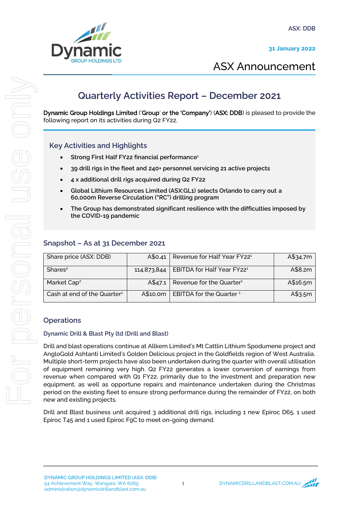



# ASX Announcement

## **Quarterly Activities Report – December 2021**

Dynamic Group Holdings Limited ('Group' or the 'Company') (ASX: DDB) is pleased to provide the following report on its activities during Q2 FY22.

## Key Activities and Highlights

- Strong First Half FY22 financial performance<sup>1</sup>
- 39 drill rigs in the fleet and 240+ personnel servicing 21 active projects
- 4 x additional drill rigs acquired during Q2 FY22
- Global Lithium Resources Limited (ASX:GL1) selects Orlando to carry out a 60,000m Reverse Circulation ("RC") drilling program
- The Group has demonstrated significant resilience with the difficulties imposed by the COVID-19 pandemic

## Snapshot – As at 31 December 2021

| Share price (ASX: DDB)         | A\$0.41  | Revenue for Half Year FY22 <sup>1</sup>              | A\$34.7m |
|--------------------------------|----------|------------------------------------------------------|----------|
| Shares <sup>2</sup>            |          | 114,873,844   EBITDA for Half Year FY22 <sup>1</sup> | A\$8.2m  |
| Market Cap <sup>2</sup>        | A\$47.1  | Revenue for the Quarter <sup>1</sup>                 | A\$16.5m |
| Cash at end of the Quarter $1$ | A\$10.0m | EBITDA for the Quarter <sup>1</sup>                  | A\$3.5m  |

## **Operations**

### Dynamic Drill & Blast Pty ltd (Drill and Blast)

Drill and blast operations continue at Allkem Limited's Mt Cattlin Lithium Spodumene project and AngloGold Ashtanti Limited's Golden Delicious project in the Goldfields region of West Australia. Multiple short-term projects have also been undertaken during the quarter with overall utilisation of equipment remaining very high. Q2 FY22 generates a lower conversion of earnings from revenue when compared with Q1 FY22, primarily due to the investment and preparation new equipment, as well as opportune repairs and maintenance undertaken during the Christmas period on the existing fleet to ensure strong performance during the remainder of FY22, on both new and existing projects.

Drill and Blast business unit acquired 3 additional drill rigs, including 1 new Epiroc D65, 1 used Epiroc T45 and 1 used Epiroc F9C to meet on-going demand.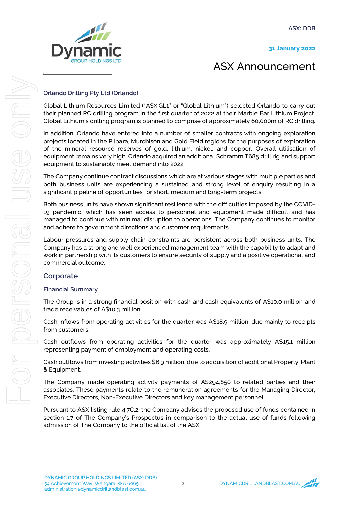31 January 2022



# ASX Announcement

### Orlando Drilling Pty Ltd (Orlando)

Global Lithium Resources Limited ("ASX:GL1" or "Global Lithium") selected Orlando to carry out their planned RC drilling program in the first quarter of 2022 at their Marble Bar Lithium Project. Global Lithium's drilling program is planned to comprise of approximately 60,000m of RC drilling.

In addition, Orlando have entered into a number of smaller contracts with ongoing exploration projects located in the Pilbara, Murchison and Gold Field regions for the purposes of exploration of the mineral resource reserves of gold, lithium, nickel, and copper. Overall utilisation of equipment remains very high. Orlando acquired an additional Schramm T685 drill rig and support equipment to sustainably meet demand into 2022.

The Company continue contract discussions which are at various stages with multiple parties and both business units are experiencing a sustained and strong level of enquiry resulting in a significant pipeline of opportunities for short, medium and long-term projects.

Both business units have shown significant resilience with the difficulties imposed by the COVID-19 pandemic, which has seen access to personnel and equipment made difficult and has managed to continue with minimal disruption to operations. The Company continues to monitor and adhere to government directions and customer requirements.

Labour pressures and supply chain constraints are persistent across both business units. The Company has a strong and well experienced management team with the capability to adapt and work in partnership with its customers to ensure security of supply and a positive operational and commercial outcome.

## **Corporate**

### Financial Summary

The Group is in a strong financial position with cash and cash equivalents of A\$10.0 million and trade receivables of A\$10.3 million.

Cash inflows from operating activities for the quarter was A\$18.9 million, due mainly to receipts from customers.

Cash outflows from operating activities for the quarter was approximately A\$15.1 million representing payment of employment and operating costs.

Cash outflows from investing activities \$6.9 million, due to acquisition of additional Property, Plant & Equipment.

The Company made operating activity payments of A\$294,850 to related parties and their associates. These payments relate to the remuneration agreements for the Managing Director, Executive Directors, Non-Executive Directors and key management personnel.

Pursuant to ASX listing rule 4.7C.2, the Company advises the proposed use of funds contained in section 1.7 of The Company's Prospectus in comparison to the actual use of funds following admission of The Company to the official list of the ASX: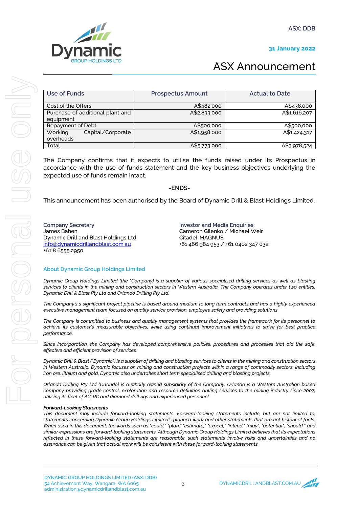

### 31 January 2022

# ASX Announcement

| Use of Funds                     | <b>Prospectus Amount</b> | <b>Actual to Date</b> |
|----------------------------------|--------------------------|-----------------------|
|                                  |                          |                       |
| Cost of the Offers               | A\$482,000               | A\$438,000            |
| Purchase of additional plant and | A\$2,833,000             | A\$1,616,207          |
| equipment                        |                          |                       |
| Repayment of Debt                | A\$500,000               | A\$500,000            |
| Capital/Corporate<br>Working     | A\$1,958,000             | A\$1,424,317          |
| overheads                        |                          |                       |
| Total                            | A\$5,773,000             | A\$3,978,524          |
|                                  |                          |                       |

The Company confirms that it expects to utilise the funds raised under its Prospectus in accordance with the use of funds statement and the key business objectives underlying the expected use of funds remain intact.

### -ENDS-

This announcement has been authorised by the Board of Dynamic Drill & Blast Holdings Limited.

Company Secretary James Bahen Dynamic Drill and Blast Holdings Ltd info@dynamicdrillandblast.com.au +61 8 6555 2950

Investor and Media Enquiries: Cameron Gilenko / Michael Weir Citadel-MAGNUS +61 466 984 953 / +61 0402 347 032

### About Dynamic Group Holdings Limited

*Dynamic Group Holdings Limited (the "Company) is a supplier of various specialised drilling services as well as blasting services to clients in the mining and construction sectors in Western Australia. The Company operates under two entities, Dynamic Drill & Blast Pty Ltd and Orlando Drilling Pty Ltd.* 

*The Company's s significant project pipeline is based around medium to long term contracts and has a highly experienced executive management team focused on quality service provision, employee safety and providing solutions* 

*The Company is committed to business and quality management systems that provides the framework for its personnel to achieve its customer's measurable objectives, while using continual improvement initiatives to strive for best practice performance.*

*Since incorporation, the Company has developed comprehensive policies, procedures and processes that aid the safe, effective and efficient provision of services.*

*Dynamic Drill & Blast ("Dynamic") is a supplier of drilling and blasting services to clients in the mining and construction sectors in Western Australia. Dynamic focuses on mining and construction projects within a range of commodity sectors, including iron ore, lithium and gold. Dynamic also undertakes short term specialised drilling and blasting projects.*

*Orlando Drilling Pty Ltd (Orlando) is a wholly owned subsidiary of the Company. Orlando is a Western Australian based company providing grade control, exploration and resource definition drilling services to the mining industry since 2007, utilising its fleet of AC, RC and diamond drill rigs and experienced personnel.*

#### *Forward-Looking Statements*

*This document may include forward-looking statements. Forward-looking statements include, but are not limited to, statements concerning Dynamic Group Holdings Limited's planned work and other statements that are not historical facts. When used in this document, the words such as "could," "plan," "estimate," "expect," "intend," "may", "potential", "should," and similar expressions are forward-looking statements. Although Dynamic Group Holdings Limited believes that its expectations reflected in these forward-looking statements are reasonable, such statements involve risks and uncertainties and no assurance can be given that actual work will be consistent with these forward-looking statements.*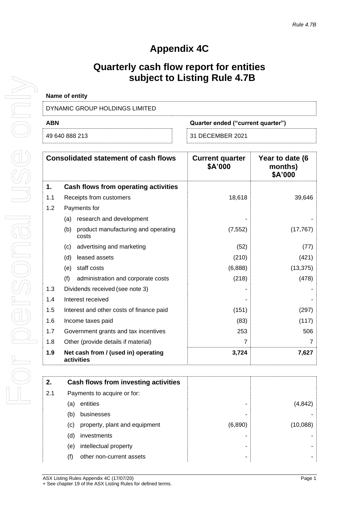## **Appendix 4C**

## **Quarterly cash flow report for entities subject to Listing Rule 4.7B**

| <b>Name of entity</b>          |                                   |
|--------------------------------|-----------------------------------|
| DYNAMIC GROUP HOLDINGS LIMITED |                                   |
| <b>ABN</b>                     | Quarter ended ("current quarter") |
|                                |                                   |

| 49 640 888 213 | 31 DECEMBER 2021 |
|----------------|------------------|
|                |                  |

|     | <b>Consolidated statement of cash flows</b>         | <b>Current quarter</b><br>\$A'000 | Year to date (6<br>months)<br>\$A'000 |
|-----|-----------------------------------------------------|-----------------------------------|---------------------------------------|
| 1.  | Cash flows from operating activities                |                                   |                                       |
| 1.1 | Receipts from customers                             | 18,618                            | 39,646                                |
| 1.2 | Payments for                                        |                                   |                                       |
|     | research and development<br>(a)                     |                                   |                                       |
|     | product manufacturing and operating<br>(b)<br>costs | (7, 552)                          | (17, 767)                             |
|     | advertising and marketing<br>(C)                    | (52)                              | (77)                                  |
|     | leased assets<br>(d)                                | (210)                             | (421)                                 |
|     | staff costs<br>(e)                                  | (6,888)                           | (13, 375)                             |
|     | (f)<br>administration and corporate costs           | (218)                             | (478)                                 |
| 1.3 | Dividends received (see note 3)                     |                                   |                                       |
| 1.4 | Interest received                                   |                                   |                                       |
| 1.5 | Interest and other costs of finance paid            | (151)                             | (297)                                 |
| 1.6 | Income taxes paid                                   | (83)                              | (117)                                 |
| 1.7 | Government grants and tax incentives                | 253                               | 506                                   |
| 1.8 | Other (provide details if material)                 | 7                                 |                                       |
| 1.9 | Net cash from / (used in) operating<br>activities   | 3,724                             | 7,627                                 |

| 2.  | Cash flows from investing activities |         |          |
|-----|--------------------------------------|---------|----------|
|     |                                      |         |          |
| 2.1 | Payments to acquire or for:          |         |          |
|     | entities<br>(a)                      |         | (4,842)  |
|     | businesses<br>(b)                    |         |          |
|     | property, plant and equipment<br>(c) | (6,890) | (10,088) |
|     | investments<br>(d)                   |         |          |
|     | intellectual property<br>(e)         | -       |          |
|     | (f)<br>other non-current assets      |         |          |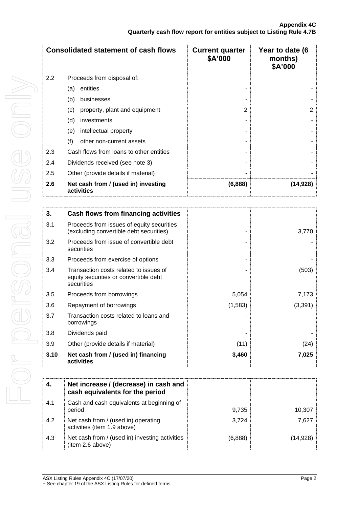|     | <b>Consolidated statement of cash flows</b>       | <b>Current quarter</b><br>\$A'000 | Year to date (6<br>months)<br>\$A'000 |
|-----|---------------------------------------------------|-----------------------------------|---------------------------------------|
| 2.2 | Proceeds from disposal of:                        |                                   |                                       |
|     | entities<br>(a)                                   |                                   |                                       |
|     | (b)<br>businesses                                 |                                   |                                       |
|     | property, plant and equipment<br>(c)              | $\mathfrak{p}$                    | $\overline{2}$                        |
|     | (d)<br>investments                                |                                   |                                       |
|     | (e)<br>intellectual property                      |                                   |                                       |
|     | (f)<br>other non-current assets                   |                                   |                                       |
| 2.3 | Cash flows from loans to other entities           |                                   |                                       |
| 2.4 | Dividends received (see note 3)                   |                                   |                                       |
| 2.5 | Other (provide details if material)               |                                   |                                       |
| 2.6 | Net cash from / (used in) investing<br>activities | (6,888)                           | (14,928)                              |

| 3.   | Cash flows from financing activities                                                          |         |          |
|------|-----------------------------------------------------------------------------------------------|---------|----------|
| 3.1  | Proceeds from issues of equity securities<br>(excluding convertible debt securities)          |         | 3,770    |
| 3.2  | Proceeds from issue of convertible debt<br>securities                                         |         |          |
| 3.3  | Proceeds from exercise of options                                                             |         |          |
| 3.4  | Transaction costs related to issues of<br>equity securities or convertible debt<br>securities |         | (503)    |
| 3.5  | Proceeds from borrowings                                                                      | 5,054   | 7,173    |
| 3.6  | Repayment of borrowings                                                                       | (1,583) | (3, 391) |
| 3.7  | Transaction costs related to loans and<br>borrowings                                          |         |          |
| 3.8  | Dividends paid                                                                                |         |          |
| 3.9  | Other (provide details if material)                                                           | (11)    | (24)     |
| 3.10 | Net cash from / (used in) financing<br>activities                                             | 3,460   | 7,025    |

| 4.  | Net increase / (decrease) in cash and<br>cash equivalents for the period |         |           |
|-----|--------------------------------------------------------------------------|---------|-----------|
| 4.1 | Cash and cash equivalents at beginning of<br>period                      | 9,735   | 10,307    |
| 4.2 | Net cash from / (used in) operating<br>activities (item 1.9 above)       | 3.724   | 7,627     |
| 4.3 | Net cash from / (used in) investing activities<br>(item 2.6 above)       | (6,888) | (14, 928) |

For personal use only For personal use only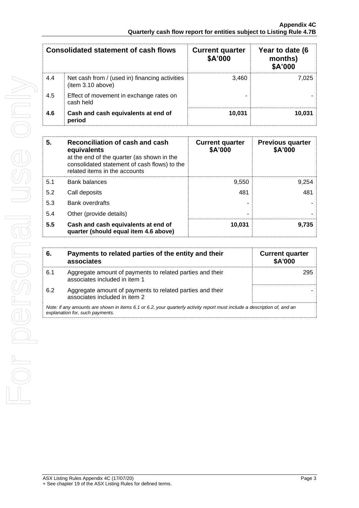|     | Consolidated statement of cash flows                                | <b>Current quarter</b><br>\$A'000 | Year to date (6<br>months)<br>\$A'000 |
|-----|---------------------------------------------------------------------|-----------------------------------|---------------------------------------|
| 4.4 | Net cash from / (used in) financing activities<br>(item 3.10 above) | 3.460                             | 7.025                                 |
| 4.5 | Effect of movement in exchange rates on<br>cash held                |                                   |                                       |
| 4.6 | Cash and cash equivalents at end of<br>period                       | 10,031                            | 10.031                                |

| 5.  | Reconciliation of cash and cash<br>equivalents<br>at the end of the quarter (as shown in the<br>consolidated statement of cash flows) to the<br>related items in the accounts | <b>Current quarter</b><br>\$A'000 | <b>Previous quarter</b><br>\$A'000 |
|-----|-------------------------------------------------------------------------------------------------------------------------------------------------------------------------------|-----------------------------------|------------------------------------|
| 5.1 | <b>Bank balances</b>                                                                                                                                                          | 9,550                             | 9,254                              |
| 5.2 | Call deposits                                                                                                                                                                 | 481                               | 481                                |
| 5.3 | <b>Bank overdrafts</b>                                                                                                                                                        |                                   |                                    |
| 5.4 | Other (provide details)                                                                                                                                                       |                                   |                                    |
| 5.5 | Cash and cash equivalents at end of<br>quarter (should equal item 4.6 above)                                                                                                  | 10,031                            | 9,735                              |

| 6.  | Payments to related parties of the entity and their<br>associates                                                                                           | <b>Current quarter</b><br><b>\$A'000</b> |
|-----|-------------------------------------------------------------------------------------------------------------------------------------------------------------|------------------------------------------|
| 6.1 | Aggregate amount of payments to related parties and their<br>associates included in item 1                                                                  | 295                                      |
| 6.2 | Aggregate amount of payments to related parties and their<br>associates included in item 2                                                                  |                                          |
|     | Note: if any amounts are shown in items 6.1 or 6.2, your quarterly activity report must include a description of, and an<br>explanation for, such payments. |                                          |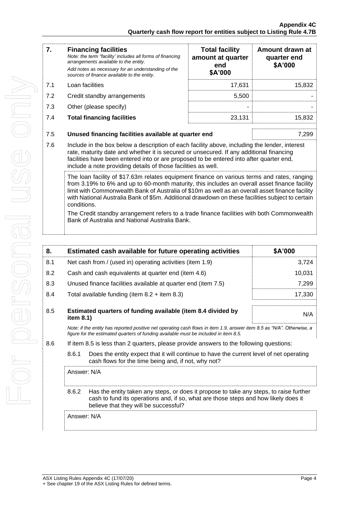| 7.  | <b>Financing facilities</b><br>Note: the term "facility' includes all forms of financing<br>arrangements available to the entity.<br>Add notes as necessary for an understanding of the<br>sources of finance available to the entity.                                                                                                                                                                             | <b>Total facility</b><br>amount at quarter<br>end<br>\$A'000  | Amount drawn at<br>quarter end<br>\$A'000 |  |
|-----|--------------------------------------------------------------------------------------------------------------------------------------------------------------------------------------------------------------------------------------------------------------------------------------------------------------------------------------------------------------------------------------------------------------------|---------------------------------------------------------------|-------------------------------------------|--|
| 7.1 | Loan facilities                                                                                                                                                                                                                                                                                                                                                                                                    | 17,631                                                        | 15,832                                    |  |
| 7.2 | Credit standby arrangements                                                                                                                                                                                                                                                                                                                                                                                        | 5,500                                                         |                                           |  |
| 7.3 | Other (please specify)                                                                                                                                                                                                                                                                                                                                                                                             |                                                               |                                           |  |
| 7.4 | <b>Total financing facilities</b>                                                                                                                                                                                                                                                                                                                                                                                  | 23,131                                                        | 15,832                                    |  |
| 7.5 |                                                                                                                                                                                                                                                                                                                                                                                                                    | Unused financing facilities available at quarter end<br>7,299 |                                           |  |
| 7.6 | Include in the box below a description of each facility above, including the lender, interest<br>rate, maturity date and whether it is secured or unsecured. If any additional financing<br>facilities have been entered into or are proposed to be entered into after quarter end,<br>include a note providing details of those facilities as well.                                                               |                                                               |                                           |  |
|     | The loan facility of \$17.63m relates equipment finance on various terms and rates, ranging<br>from 3.19% to 6% and up to 60-month maturity, this includes an overall asset finance facility<br>limit with Commonwealth Bank of Australia of \$10m as well as an overall asset finance facility<br>with National Australia Bank of \$5m. Additional drawdown on these facilities subject to certain<br>conditions. |                                                               |                                           |  |
|     | The Credit standby arrangement refers to a trade finance facilities with both Commonwealth<br>Bank of Australia and National Australia Bank.                                                                                                                                                                                                                                                                       |                                                               |                                           |  |

| 8.  |                                                                                                                                                                                                                                 | Estimated cash available for future operating activities                                | \$A'000 |  |
|-----|---------------------------------------------------------------------------------------------------------------------------------------------------------------------------------------------------------------------------------|-----------------------------------------------------------------------------------------|---------|--|
| 8.1 |                                                                                                                                                                                                                                 | Net cash from / (used in) operating activities (item 1.9)                               | 3,724   |  |
| 8.2 |                                                                                                                                                                                                                                 | 10,031<br>Cash and cash equivalents at quarter end (item 4.6)                           |         |  |
| 8.3 |                                                                                                                                                                                                                                 | Unused finance facilities available at quarter end (item 7.5)                           | 7,299   |  |
| 8.4 |                                                                                                                                                                                                                                 | Total available funding (item $8.2 +$ item $8.3$ )                                      | 17,330  |  |
| 8.5 | Estimated quarters of funding available (item 8.4 divided by<br>item 8.1)                                                                                                                                                       |                                                                                         | N/A     |  |
|     | Note: if the entity has reported positive net operating cash flows in item 1.9, answer item 8.5 as "N/A". Otherwise, a<br>figure for the estimated quarters of funding available must be included in item 8.5.                  |                                                                                         |         |  |
| 8.6 |                                                                                                                                                                                                                                 | If item 8.5 is less than 2 quarters, please provide answers to the following questions: |         |  |
|     | 8.6.1<br>Does the entity expect that it will continue to have the current level of net operating<br>cash flows for the time being and, if not, why not?                                                                         |                                                                                         |         |  |
|     | Answer: N/A                                                                                                                                                                                                                     |                                                                                         |         |  |
|     | 8.6.2<br>Has the entity taken any steps, or does it propose to take any steps, to raise further<br>cash to fund its operations and, if so, what are those steps and how likely does it<br>believe that they will be successful? |                                                                                         |         |  |
|     | Answer: N/A                                                                                                                                                                                                                     |                                                                                         |         |  |